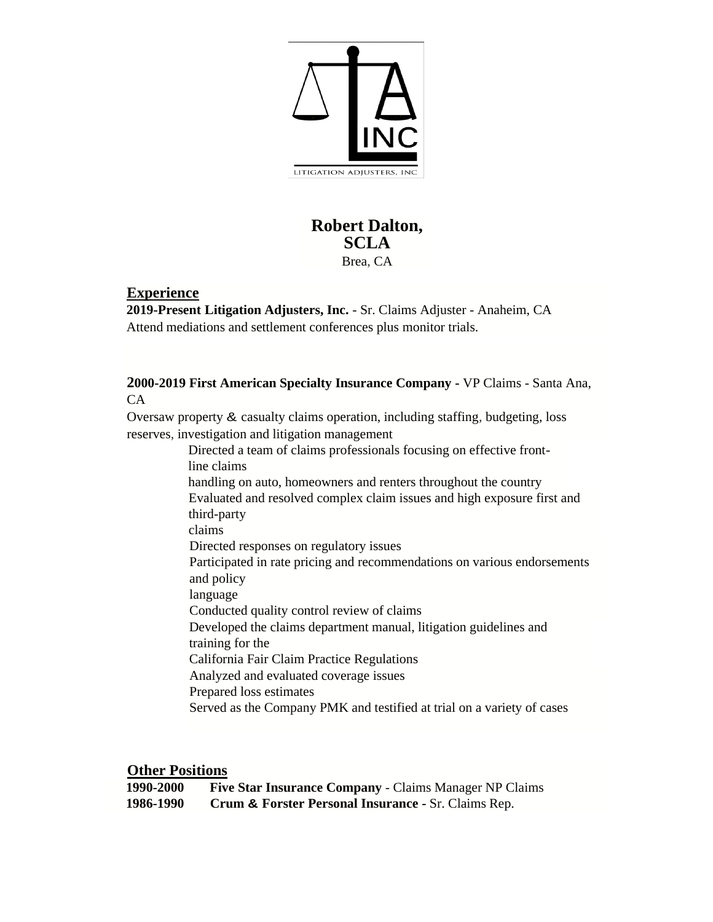

## **Robert Dalton, SCLA**  Brea, CA

## **Experience**

**2019-Present Litigation Adjusters, Inc.** - Sr. Claims Adjuster - Anaheim, CA Attend mediations and settlement conferences plus monitor trials.

**2000-2019 First American Specialty Insurance Company -** VP Claims - Santa Ana, CA

Oversaw property & casualty claims operation, including staffing, budgeting, loss reserves, investigation and litigation management

Directed a team of claims professionals focusing on effective frontline claims handling on auto, homeowners and renters throughout the country Evaluated and resolved complex claim issues and high exposure first and third-party claims Directed responses on regulatory issues Participated in rate pricing and recommendations on various endorsements and policy language Conducted quality control review of claims Developed the claims department manual, litigation guidelines and training for the California Fair Claim Practice Regulations Analyzed and evaluated coverage issues Prepared loss estimates Served as the Company PMK and testified at trial on a variety of cases

**Other Positions** 

| 1990-2000 | <b>Five Star Insurance Company - Claims Manager NP Claims</b> |
|-----------|---------------------------------------------------------------|
| 1986-1990 | Crum & Forster Personal Insurance - Sr. Claims Rep.           |